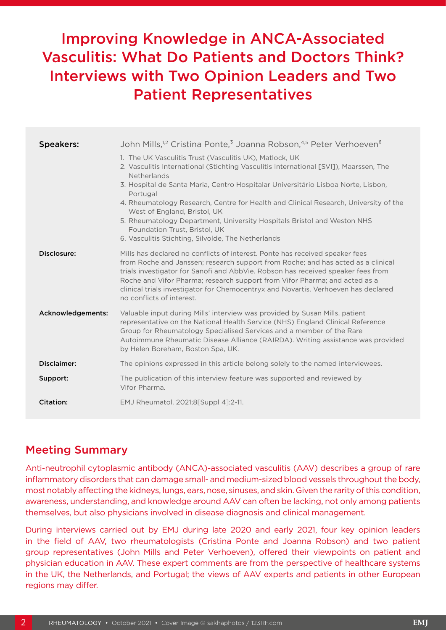# Improving Knowledge in ANCA-Associated Vasculitis: What Do Patients and Doctors Think? Interviews with Two Opinion Leaders and Two Patient Representatives

| <b>Speakers:</b>  | John Mills, <sup>1,2</sup> Cristina Ponte, <sup>3</sup> Joanna Robson, <sup>4,5</sup> Peter Verhoeven <sup>6</sup>                                                                                                                                                                                                                                                                                                                                                                                                                                                |
|-------------------|-------------------------------------------------------------------------------------------------------------------------------------------------------------------------------------------------------------------------------------------------------------------------------------------------------------------------------------------------------------------------------------------------------------------------------------------------------------------------------------------------------------------------------------------------------------------|
|                   | 1. The UK Vasculitis Trust (Vasculitis UK), Matlock, UK<br>2. Vasculitis International (Stichting Vasculitis International [SVI]), Maarssen, The<br><b>Netherlands</b><br>3. Hospital de Santa Maria, Centro Hospitalar Universitário Lisboa Norte, Lisbon,<br>Portugal<br>4. Rheumatology Research, Centre for Health and Clinical Research, University of the<br>West of England, Bristol, UK<br>5. Rheumatology Department, University Hospitals Bristol and Weston NHS<br>Foundation Trust, Bristol, UK<br>6. Vasculitis Stichting, Silvolde, The Netherlands |
| Disclosure:       | Mills has declared no conflicts of interest. Ponte has received speaker fees<br>from Roche and Janssen; research support from Roche; and has acted as a clinical<br>trials investigator for Sanofi and AbbVie. Robson has received speaker fees from<br>Roche and Vifor Pharma; research support from Vifor Pharma; and acted as a<br>clinical trials investigator for Chemocentryx and Novartis. Verhoeven has declared<br>no conflicts of interest.                                                                                                             |
| Acknowledgements: | Valuable input during Mills' interview was provided by Susan Mills, patient<br>representative on the National Health Service (NHS) England Clinical Reference<br>Group for Rheumatology Specialised Services and a member of the Rare<br>Autoimmune Rheumatic Disease Alliance (RAIRDA). Writing assistance was provided<br>by Helen Boreham, Boston Spa, UK.                                                                                                                                                                                                     |
| Disclaimer:       | The opinions expressed in this article belong solely to the named interviewees.                                                                                                                                                                                                                                                                                                                                                                                                                                                                                   |
| Support:          | The publication of this interview feature was supported and reviewed by<br>Vifor Pharma.                                                                                                                                                                                                                                                                                                                                                                                                                                                                          |
| Citation:         | EMJ Rheumatol. 2021;8[Suppl 4]:2-11.                                                                                                                                                                                                                                                                                                                                                                                                                                                                                                                              |

# Meeting Summary

Anti-neutrophil cytoplasmic antibody (ANCA)-associated vasculitis (AAV) describes a group of rare inflammatory disorders that can damage small- and medium-sized blood vessels throughout the body, most notably affecting the kidneys, lungs, ears, nose, sinuses, and skin. Given the rarity of this condition, awareness, understanding, and knowledge around AAV can often be lacking, not only among patients themselves, but also physicians involved in disease diagnosis and clinical management.

During interviews carried out by EMJ during late 2020 and early 2021, four key opinion leaders in the field of AAV, two rheumatologists (Cristina Ponte and Joanna Robson) and two patient group representatives (John Mills and Peter Verhoeven), offered their viewpoints on patient and physician education in AAV. These expert comments are from the perspective of healthcare systems in the UK, the Netherlands, and Portugal; the views of AAV experts and patients in other European regions may differ.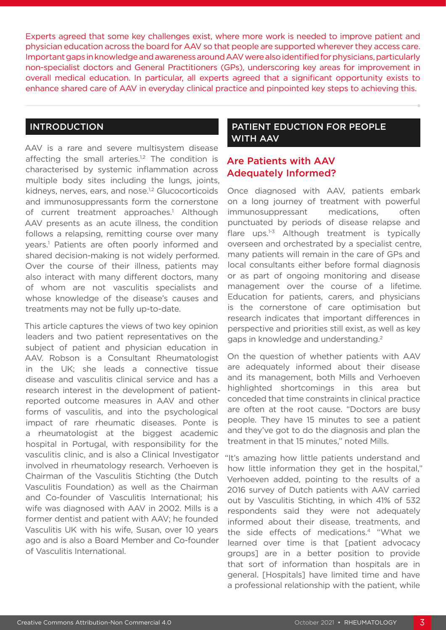Experts agreed that some key challenges exist, where more work is needed to improve patient and physician education across the board for AAV so that people are supported wherever they access care. Important gaps in knowledge and awareness around AAV were also identified for physicians, particularly non-specialist doctors and General Practitioners (GPs), underscoring key areas for improvement in overall medical education. In particular, all experts agreed that a significant opportunity exists to enhance shared care of AAV in everyday clinical practice and pinpointed key steps to achieving this.

### INTRODUCTION

AAV is a rare and severe multisystem disease affecting the small arteries. $1,2$  The condition is characterised by systemic inflammation across multiple body sites including the lungs, joints, kidneys, nerves, ears, and nose.<sup>1,2</sup> Glucocorticoids and immunosuppressants form the cornerstone of current treatment approaches.<sup>1</sup> Although AAV presents as an acute illness, the condition follows a relapsing, remitting course over many years.1 Patients are often poorly informed and shared decision-making is not widely performed. Over the course of their illness, patients may also interact with many different doctors, many of whom are not vasculitis specialists and whose knowledge of the disease's causes and treatments may not be fully up-to-date.

This article captures the views of two key opinion leaders and two patient representatives on the subject of patient and physician education in AAV. Robson is a Consultant Rheumatologist in the UK; she leads a connective tissue disease and vasculitis clinical service and has a research interest in the development of patientreported outcome measures in AAV and other forms of vasculitis, and into the psychological impact of rare rheumatic diseases. Ponte is a rheumatologist at the biggest academic hospital in Portugal, with responsibility for the vasculitis clinic, and is also a Clinical Investigator involved in rheumatology research. Verhoeven is Chairman of the Vasculitis Stichting (the Dutch Vasculitis Foundation) as well as the Chairman and Co-founder of Vasculitis International; his wife was diagnosed with AAV in 2002. Mills is a former dentist and patient with AAV; he founded Vasculitis UK with his wife, Susan, over 10 years ago and is also a Board Member and Co-founder of Vasculitis International.

### PATIENT EDUCTION FOR PEOPLE WITH AAV

# Are Patients with AAV Adequately Informed?

Once diagnosed with AAV, patients embark on a long journey of treatment with powerful immunosuppressant medications, often punctuated by periods of disease relapse and flare ups. $1-3$  Although treatment is typically overseen and orchestrated by a specialist centre, many patients will remain in the care of GPs and local consultants either before formal diagnosis or as part of ongoing monitoring and disease management over the course of a lifetime. Education for patients, carers, and physicians is the cornerstone of care optimisation but research indicates that important differences in perspective and priorities still exist, as well as key gaps in knowledge and understanding.2

On the question of whether patients with AAV are adequately informed about their disease and its management, both Mills and Verhoeven highlighted shortcomings in this area but conceded that time constraints in clinical practice are often at the root cause. "Doctors are busy people. They have 15 minutes to see a patient and they've got to do the diagnosis and plan the treatment in that 15 minutes," noted Mills.

"It's amazing how little patients understand and how little information they get in the hospital," Verhoeven added, pointing to the results of a 2016 survey of Dutch patients with AAV carried out by Vasculitis Stichting, in which 41% of 532 respondents said they were not adequately informed about their disease, treatments, and the side effects of medications.4 "What we learned over time is that [patient advocacy groups] are in a better position to provide that sort of information than hospitals are in general. [Hospitals] have limited time and have a professional relationship with the patient, while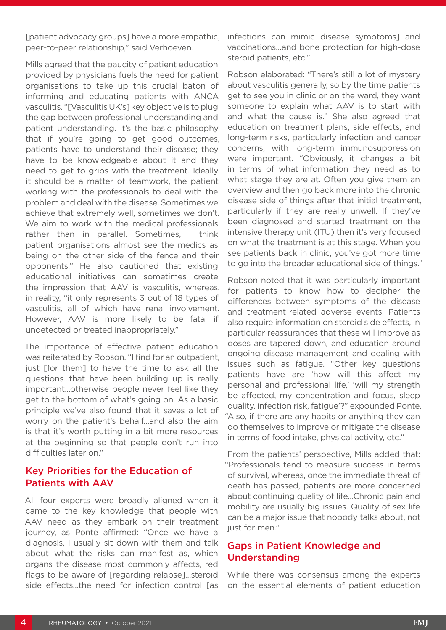[patient advocacy groups] have a more empathic, peer-to-peer relationship," said Verhoeven.

Mills agreed that the paucity of patient education provided by physicians fuels the need for patient organisations to take up this crucial baton of informing and educating patients with ANCA vasculitis. "[Vasculitis UK's] key objective is to plug the gap between professional understanding and patient understanding. It's the basic philosophy that if you're going to get good outcomes, patients have to understand their disease; they have to be knowledgeable about it and they need to get to grips with the treatment. Ideally it should be a matter of teamwork, the patient working with the professionals to deal with the problem and deal with the disease. Sometimes we achieve that extremely well, sometimes we don't. We aim to work with the medical professionals rather than in parallel. Sometimes, I think patient organisations almost see the medics as being on the other side of the fence and their opponents." He also cautioned that existing educational initiatives can sometimes create the impression that AAV is vasculitis, whereas, in reality, "it only represents 3 out of 18 types of vasculitis, all of which have renal involvement. However, AAV is more likely to be fatal if undetected or treated inappropriately."

The importance of effective patient education was reiterated by Robson. "I find for an outpatient, just [for them] to have the time to ask all the questions…that have been building up is really important...otherwise people never feel like they get to the bottom of what's going on. As a basic principle we've also found that it saves a lot of worry on the patient's behalf…and also the aim is that it's worth putting in a bit more resources at the beginning so that people don't run into difficulties later on."

# Key Priorities for the Education of Patients with AAV

All four experts were broadly aligned when it came to the key knowledge that people with AAV need as they embark on their treatment journey, as Ponte affirmed: "Once we have a diagnosis, I usually sit down with them and talk about what the risks can manifest as, which organs the disease most commonly affects, red flags to be aware of [regarding relapse]…steroid side effects...the need for infection control [as

infections can mimic disease symptoms] and vaccinations…and bone protection for high-dose steroid patients, etc."

Robson elaborated: "There's still a lot of mystery about vasculitis generally, so by the time patients get to see you in clinic or on the ward, they want someone to explain what AAV is to start with and what the cause is." She also agreed that education on treatment plans, side effects, and long-term risks, particularly infection and cancer concerns, with long-term immunosuppression were important. "Obviously, it changes a bit in terms of what information they need as to what stage they are at. Often you give them an overview and then go back more into the chronic disease side of things after that initial treatment, particularly if they are really unwell. If they've been diagnosed and started treatment on the intensive therapy unit (ITU) then it's very focused on what the treatment is at this stage. When you see patients back in clinic, you've got more time to go into the broader educational side of things."

Robson noted that it was particularly important for patients to know how to decipher the differences between symptoms of the disease and treatment-related adverse events. Patients also require information on steroid side effects, in particular reassurances that these will improve as doses are tapered down, and education around ongoing disease management and dealing with issues such as fatigue. "Other key questions patients have are 'how will this affect my personal and professional life,' 'will my strength be affected, my concentration and focus, sleep quality, infection risk, fatigue'?" expounded Ponte. "Also, if there are any habits or anything they can do themselves to improve or mitigate the disease in terms of food intake, physical activity, etc."

From the patients' perspective, Mills added that: "Professionals tend to measure success in terms of survival, whereas, once the immediate threat of death has passed, patients are more concerned about continuing quality of life…Chronic pain and mobility are usually big issues. Quality of sex life can be a major issue that nobody talks about, not just for men."

# Gaps in Patient Knowledge and Understanding

While there was consensus among the experts on the essential elements of patient education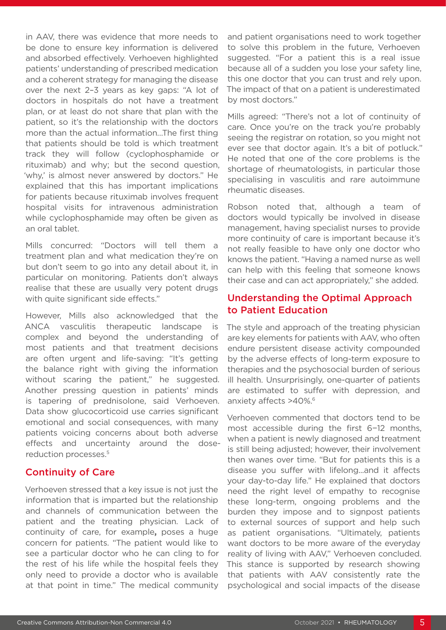in AAV, there was evidence that more needs to be done to ensure key information is delivered and absorbed effectively. Verhoeven highlighted patients' understanding of prescribed medication and a coherent strategy for managing the disease over the next 2–3 years as key gaps: "A lot of doctors in hospitals do not have a treatment plan, or at least do not share that plan with the patient, so it's the relationship with the doctors more than the actual information…The first thing that patients should be told is which treatment track they will follow (cyclophosphamide or rituximab) and why; but the second question, 'why,' is almost never answered by doctors." He explained that this has important implications for patients because rituximab involves frequent hospital visits for intravenous administration while cyclophosphamide may often be given as an oral tablet.

Mills concurred: "Doctors will tell them a treatment plan and what medication they're on but don't seem to go into any detail about it, in particular on monitoring. Patients don't always realise that these are usually very potent drugs with quite significant side effects."

However, Mills also acknowledged that the ANCA vasculitis therapeutic landscape is complex and beyond the understanding of most patients and that treatment decisions are often urgent and life-saving: "It's getting the balance right with giving the information without scaring the patient," he suggested. Another pressing question in patients' minds is tapering of prednisolone, said Verhoeven. Data show glucocorticoid use carries significant emotional and social consequences, with many patients voicing concerns about both adverse effects and uncertainty around the dosereduction processes.5

### Continuity of Care

Verhoeven stressed that a key issue is not just the information that is imparted but the relationship and channels of communication between the patient and the treating physician. Lack of continuity of care, for example**,** poses a huge concern for patients. "The patient would like to see a particular doctor who he can cling to for the rest of his life while the hospital feels they only need to provide a doctor who is available at that point in time." The medical community

and patient organisations need to work together to solve this problem in the future, Verhoeven suggested. "For a patient this is a real issue because all of a sudden you lose your safety line, this one doctor that you can trust and rely upon. The impact of that on a patient is underestimated by most doctors."

Mills agreed: "There's not a lot of continuity of care. Once you're on the track you're probably seeing the registrar on rotation, so you might not ever see that doctor again. It's a bit of potluck." He noted that one of the core problems is the shortage of rheumatologists, in particular those specialising in vasculitis and rare autoimmune rheumatic diseases.

Robson noted that, although a team of doctors would typically be involved in disease management, having specialist nurses to provide more continuity of care is important because it's not really feasible to have only one doctor who knows the patient. "Having a named nurse as well can help with this feeling that someone knows their case and can act appropriately," she added.

### Understanding the Optimal Approach to Patient Education

The style and approach of the treating physician are key elements for patients with AAV, who often endure persistent disease activity compounded by the adverse effects of long-term exposure to therapies and the psychosocial burden of serious ill health. Unsurprisingly, one-quarter of patients are estimated to suffer with depression, and anxiety affects >40%.6

Verhoeven commented that doctors tend to be most accessible during the first 6−12 months, when a patient is newly diagnosed and treatment is still being adjusted; however, their involvement then wanes over time. "But for patients this is a disease you suffer with lifelong...and it affects your day-to-day life." He explained that doctors need the right level of empathy to recognise these long-term, ongoing problems and the burden they impose and to signpost patients to external sources of support and help such as patient organisations. "Ultimately, patients want doctors to be more aware of the everyday reality of living with AAV," Verhoeven concluded. This stance is supported by research showing that patients with AAV consistently rate the psychological and social impacts of the disease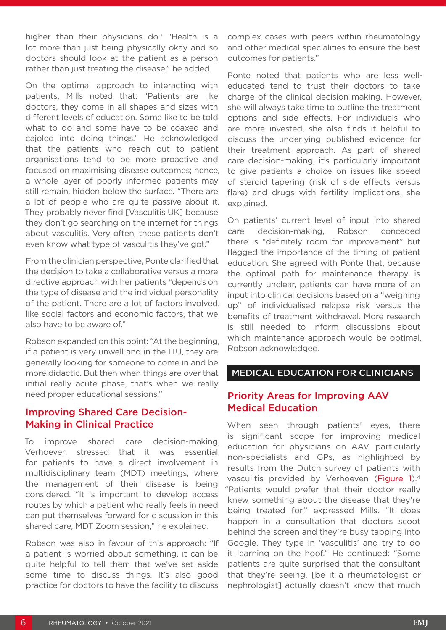higher than their physicians do.<sup>7</sup> "Health is a lot more than just being physically okay and so doctors should look at the patient as a person rather than just treating the disease," he added.

On the optimal approach to interacting with patients, Mills noted that: "Patients are like doctors, they come in all shapes and sizes with different levels of education. Some like to be told what to do and some have to be coaxed and cajoled into doing things." He acknowledged that the patients who reach out to patient organisations tend to be more proactive and focused on maximising disease outcomes; hence, a whole layer of poorly informed patients may still remain, hidden below the surface*.* "There are a lot of people who are quite passive about it. They probably never find [Vasculitis UK] because they don't go searching on the internet for things about vasculitis. Very often, these patients don't even know what type of vasculitis they've got."

From the clinician perspective, Ponte clarified that the decision to take a collaborative versus a more directive approach with her patients "depends on the type of disease and the individual personality of the patient. There are a lot of factors involved, like social factors and economic factors, that we also have to be aware of."

Robson expanded on this point: "At the beginning, if a patient is very unwell and in the ITU, they are generally looking for someone to come in and be more didactic. But then when things are over that initial really acute phase, that's when we really need proper educational sessions."

### Improving Shared Care Decision-Making in Clinical Practice

To improve shared care decision-making, Verhoeven stressed that it was essential for patients to have a direct involvement in multidisciplinary team (MDT) meetings, where the management of their disease is being considered. "It is important to develop access routes by which a patient who really feels in need can put themselves forward for discussion in this shared care, MDT Zoom session," he explained.

Robson was also in favour of this approach: "If a patient is worried about something, it can be quite helpful to tell them that we've set aside some time to discuss things. It's also good practice for doctors to have the facility to discuss

complex cases with peers within rheumatology and other medical specialities to ensure the best outcomes for patients."

Ponte noted that patients who are less welleducated tend to trust their doctors to take charge of the clinical decision-making. However, she will always take time to outline the treatment options and side effects. For individuals who are more invested, she also finds it helpful to discuss the underlying published evidence for their treatment approach. As part of shared care decision-making, it's particularly important to give patients a choice on issues like speed of steroid tapering (risk of side effects versus flare) and drugs with fertility implications, she explained.

On patients' current level of input into shared care decision-making, Robson conceded there is "definitely room for improvement" but flagged the importance of the timing of patient education. She agreed with Ponte that, because the optimal path for maintenance therapy is currently unclear, patients can have more of an input into clinical decisions based on a "weighing up" of individualised relapse risk versus the benefits of treatment withdrawal. More research is still needed to inform discussions about which maintenance approach would be optimal, Robson acknowledged.

### MEDICAL EDUCATION FOR CLINICIANS

# Priority Areas for Improving AAV Medical Education

When seen through patients' eyes, there is significant scope for improving medical education for physicians on AAV, particularly non-specialists and GPs, as highlighted by results from the Dutch survey of patients with vasculitis provided by Verhoeven (Figure 1).<sup>4</sup> "Patients would prefer that their doctor really knew something about the disease that they're being treated for," expressed Mills. "It does happen in a consultation that doctors scoot behind the screen and they're busy tapping into Google. They type in 'vasculitis' and try to do it learning on the hoof." He continued: "Some patients are quite surprised that the consultant that they're seeing, [be it a rheumatologist or nephrologist] actually doesn't know that much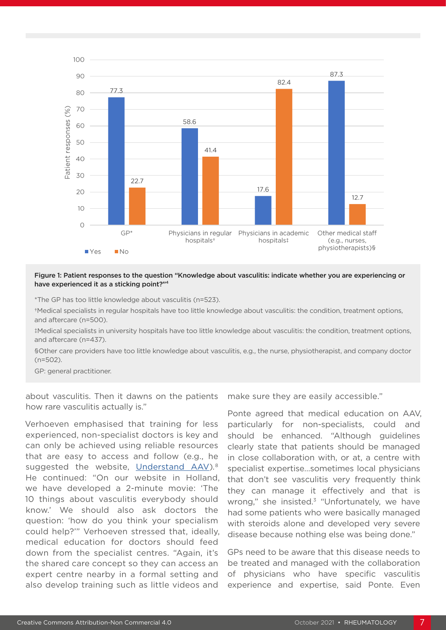

#### Figure 1: Patient responses to the question "Knowledge about vasculitis: indicate whether you are experiencing or have experienced it as a sticking point?"<sup>4</sup>

\*The GP has too little knowledge about vasculitis (n=523).

†Medical specialists in regular hospitals have too little knowledge about vasculitis: the condition, treatment options, and aftercare (n=500).

‡Medical specialists in university hospitals have too little knowledge about vasculitis: the condition, treatment options, and aftercare (n=437).

§Other care providers have too little knowledge about vasculitis, e.g., the nurse, physiotherapist, and company doctor (n=502).

GP: general practitioner.

about vasculitis. Then it dawns on the patients how rare vasculitis actually is."

Verhoeven emphasised that training for less experienced, non-specialist doctors is key and can only be achieved using reliable resources that are easy to access and follow (e.g., he suggested the website, [Understand AAV\)](http://www.understandaav.com)*.* 8 He continued: "On our website in Holland, we have developed a 2-minute movie: 'The 10 things about vasculitis everybody should know.' We should also ask doctors the question: 'how do you think your specialism could help?'" Verhoeven stressed that, ideally, medical education for doctors should feed down from the specialist centres. "Again, it's the shared care concept so they can access an expert centre nearby in a formal setting and also develop training such as little videos and

make sure they are easily accessible."

Ponte agreed that medical education on AAV, particularly for non-specialists, could and should be enhanced. "Although guidelines clearly state that patients should be managed in close collaboration with, or at, a centre with specialist expertise…sometimes local physicians that don't see vasculitis very frequently think they can manage it effectively and that is wrong," she insisted.<sup>3</sup> "Unfortunately, we have had some patients who were basically managed with steroids alone and developed very severe disease because nothing else was being done."

GPs need to be aware that this disease needs to be treated and managed with the collaboration of physicians who have specific vasculitis experience and expertise, said Ponte. Even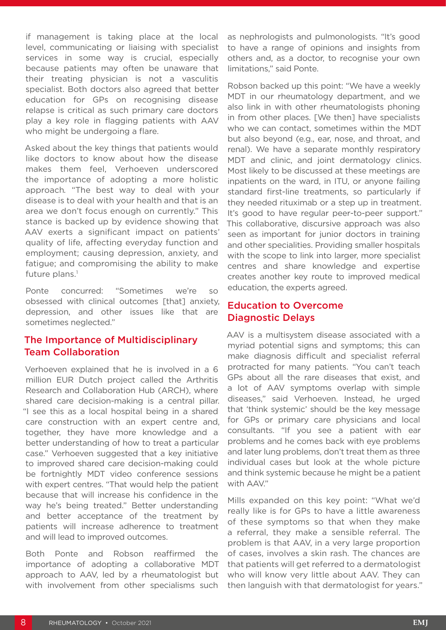if management is taking place at the local level, communicating or liaising with specialist services in some way is crucial, especially because patients may often be unaware that their treating physician is not a vasculitis specialist. Both doctors also agreed that better education for GPs on recognising disease relapse is critical as such primary care doctors play a key role in flagging patients with AAV who might be undergoing a flare.

Asked about the key things that patients would like doctors to know about how the disease makes them feel, Verhoeven underscored the importance of adopting a more holistic approach*.* "The best way to deal with your disease is to deal with your health and that is an area we don't focus enough on currently." This stance is backed up by evidence showing that AAV exerts a significant impact on patients' quality of life, affecting everyday function and employment; causing depression, anxiety, and fatigue; and compromising the ability to make future plans.<sup>1</sup>

Ponte concurred: "Sometimes we're so obsessed with clinical outcomes [that] anxiety, depression, and other issues like that are sometimes neglected."

# The Importance of Multidisciplinary Team Collaboration

Verhoeven explained that he is involved in a 6 million EUR Dutch project called the Arthritis Research and Collaboration Hub (ARCH), where shared care decision-making is a central pillar. "I see this as a local hospital being in a shared care construction with an expert centre and, together, they have more knowledge and a better understanding of how to treat a particular case." Verhoeven suggested that a key initiative to improved shared care decision-making could be fortnightly MDT video conference sessions with expert centres. "That would help the patient because that will increase his confidence in the way he's being treated." Better understanding and better acceptance of the treatment by patients will increase adherence to treatment and will lead to improved outcomes.

Both Ponte and Robson reaffirmed the importance of adopting a collaborative MDT approach to AAV, led by a rheumatologist but with involvement from other specialisms such

as nephrologists and pulmonologists. "It's good to have a range of opinions and insights from others and, as a doctor, to recognise your own limitations," said Ponte.

Robson backed up this point: "We have a weekly MDT in our rheumatology department, and we also link in with other rheumatologists phoning in from other places. [We then] have specialists who we can contact, sometimes within the MDT but also beyond (e.g., ear, nose, and throat, and renal). We have a separate monthly respiratory MDT and clinic, and joint dermatology clinics. Most likely to be discussed at these meetings are inpatients on the ward, in ITU, or anyone failing standard first-line treatments, so particularly if they needed rituximab or a step up in treatment. It's good to have regular peer-to-peer support." This collaborative, discursive approach was also seen as important for junior doctors in training and other specialities. Providing smaller hospitals with the scope to link into larger, more specialist centres and share knowledge and expertise creates another key route to improved medical education, the experts agreed.

# Education to Overcome Diagnostic Delays

AAV is a multisystem disease associated with a myriad potential signs and symptoms; this can make diagnosis difficult and specialist referral protracted for many patients. "You can't teach GPs about all the rare diseases that exist, and a lot of AAV symptoms overlap with simple diseases," said Verhoeven. Instead, he urged that 'think systemic' should be the key message for GPs or primary care physicians and local consultants. "If you see a patient with ear problems and he comes back with eye problems and later lung problems, don't treat them as three individual cases but look at the whole picture and think systemic because he might be a patient with AAV."

Mills expanded on this key point: "What we'd really like is for GPs to have a little awareness of these symptoms so that when they make a referral, they make a sensible referral. The problem is that AAV, in a very large proportion of cases, involves a skin rash. The chances are that patients will get referred to a dermatologist who will know very little about AAV. They can then languish with that dermatologist for years."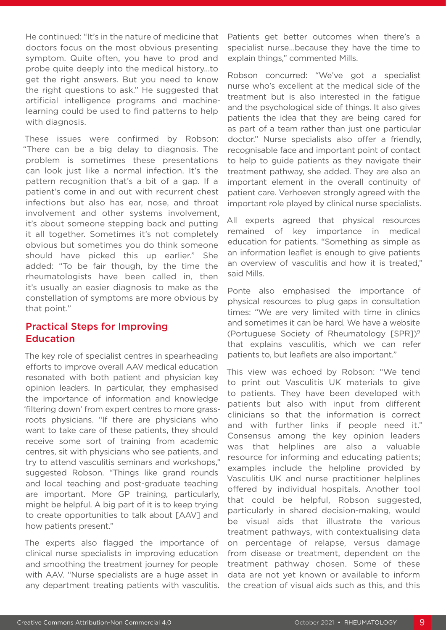He continued: "It's in the nature of medicine that doctors focus on the most obvious presenting symptom. Quite often, you have to prod and probe quite deeply into the medical history…to get the right answers. But you need to know the right questions to ask." He suggested that artificial intelligence programs and machinelearning could be used to find patterns to help with diagnosis.

These issues were confirmed by Robson: "There can be a big delay to diagnosis. The problem is sometimes these presentations can look just like a normal infection. It's the pattern recognition that's a bit of a gap. If a patient's come in and out with recurrent chest infections but also has ear, nose, and throat involvement and other systems involvement, it's about someone stepping back and putting it all together. Sometimes it's not completely obvious but sometimes you do think someone should have picked this up earlier." She added: "To be fair though, by the time the rheumatologists have been called in, then it's usually an easier diagnosis to make as the constellation of symptoms are more obvious by that point."

# Practical Steps for Improving Education

The key role of specialist centres in spearheading efforts to improve overall AAV medical education resonated with both patient and physician key opinion leaders. In particular, they emphasised the importance of information and knowledge 'filtering down' from expert centres to more grassroots physicians. "If there are physicians who want to take care of these patients, they should receive some sort of training from academic centres, sit with physicians who see patients, and try to attend vasculitis seminars and workshops," suggested Robson. "Things like grand rounds and local teaching and post-graduate teaching are important. More GP training, particularly, might be helpful. A big part of it is to keep trying to create opportunities to talk about [AAV] and how patients present."

The experts also flagged the importance of clinical nurse specialists in improving education and smoothing the treatment journey for people with AAV. "Nurse specialists are a huge asset in any department treating patients with vasculitis. Patients get better outcomes when there's a specialist nurse…because they have the time to explain things," commented Mills.

Robson concurred: "We've got a specialist nurse who's excellent at the medical side of the treatment but is also interested in the fatigue and the psychological side of things. It also gives patients the idea that they are being cared for as part of a team rather than just one particular doctor." Nurse specialists also offer a friendly, recognisable face and important point of contact to help to guide patients as they navigate their treatment pathway, she added. They are also an important element in the overall continuity of patient care. Verhoeven strongly agreed with the important role played by clinical nurse specialists.

All experts agreed that physical resources remained of key importance in medical education for patients. "Something as simple as an information leaflet is enough to give patients an overview of vasculitis and how it is treated," said Mills.

Ponte also emphasised the importance of physical resources to plug gaps in consultation times: "We are very limited with time in clinics and sometimes it can be hard. We have a website (Portuguese Society of Rheumatology [SPR])9 that explains vasculitis, which we can refer patients to, but leaflets are also important."

This view was echoed by Robson: "We tend to print out Vasculitis UK materials to give to patients. They have been developed with patients but also with input from different clinicians so that the information is correct and with further links if people need it." Consensus among the key opinion leaders was that helplines are also a valuable resource for informing and educating patients; examples include the helpline provided by Vasculitis UK and nurse practitioner helplines offered by individual hospitals. Another tool that could be helpful, Robson suggested, particularly in shared decision-making, would be visual aids that illustrate the various treatment pathways, with contextualising data on percentage of relapse, versus damage from disease or treatment, dependent on the treatment pathway chosen. Some of these data are not yet known or available to inform the creation of visual aids such as this, and this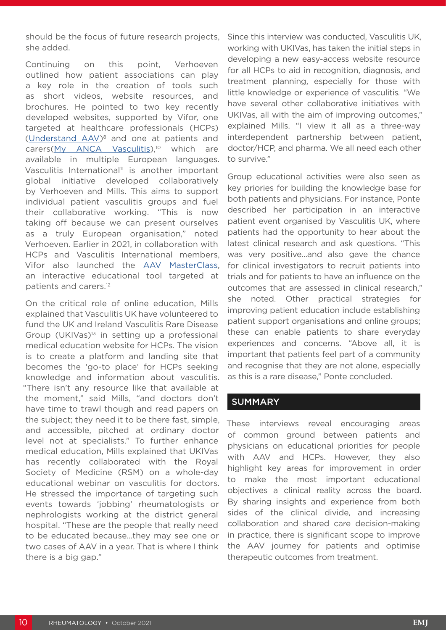should be the focus of future research projects, she added.

Continuing on this point, Verhoeven outlined how patient associations can play a key role in the creation of tools such as short videos, website resources, and brochures. He pointed to two key recently developed websites, supported by Vifor, one targeted at healthcare professionals (HCPs) [\(Understand AAV\)8](http://www.understandaav.com) and one at patients and carers[\(My ANCA Vasculitis\)](http://www.myancavasculitis.com),<sup>10</sup> which are available in multiple European languages. Vasculitis International<sup>11</sup> is another important global initiative developed collaboratively by Verhoeven and Mills. This aims to support individual patient vasculitis groups and fuel their collaborative working. "This is now taking off because we can present ourselves as a truly European organisation," noted Verhoeven. Earlier in 2021, in collaboration with HCPs and Vasculitis International members, Vifor also launched the [AAV MasterClass,](https://aavmasterclass.myancavasculitis.com/)  an interactive educational tool targeted at patients and carers.12

On the critical role of online education, Mills explained that Vasculitis UK have volunteered to fund the UK and Ireland Vasculitis Rare Disease Group (UKIVas)<sup>13</sup> in setting up a professional medical education website for HCPs. The vision is to create a platform and landing site that becomes the 'go-to place' for HCPs seeking knowledge and information about vasculitis. "There isn't any resource like that available at the moment," said Mills, "and doctors don't have time to trawl though and read papers on the subject; they need it to be there fast, simple, and accessible, pitched at ordinary doctor level not at specialists." To further enhance medical education, Mills explained that UKIVas has recently collaborated with the Royal Society of Medicine (RSM) on a whole-day educational webinar on vasculitis for doctors. He stressed the importance of targeting such events towards 'jobbing' rheumatologists or nephrologists working at the district general hospital. "These are the people that really need to be educated because…they may see one or two cases of AAV in a year. That is where I think there is a big gap."

Since this interview was conducted, Vasculitis UK, working with UKIVas, has taken the initial steps in developing a new easy-access website resource for all HCPs to aid in recognition, diagnosis, and treatment planning, especially for those with little knowledge or experience of vasculitis*.* "We have several other collaborative initiatives with UKIVas, all with the aim of improving outcomes," explained Mills. "I view it all as a three-way interdependent partnership between patient, doctor/HCP, and pharma. We all need each other to survive."

Group educational activities were also seen as key priories for building the knowledge base for both patients and physicians. For instance, Ponte described her participation in an interactive patient event organised by Vasculitis UK, where patients had the opportunity to hear about the latest clinical research and ask questions. "This was very positive…and also gave the chance for clinical investigators to recruit patients into trials and for patients to have an influence on the outcomes that are assessed in clinical research," she noted. Other practical strategies for improving patient education include establishing patient support organisations and online groups; these can enable patients to share everyday experiences and concerns. "Above all, it is important that patients feel part of a community and recognise that they are not alone, especially as this is a rare disease," Ponte concluded.

### **SUMMARY**

These interviews reveal encouraging areas of common ground between patients and physicians on educational priorities for people with AAV and HCPs. However, they also highlight key areas for improvement in order to make the most important educational objectives a clinical reality across the board. By sharing insights and experience from both sides of the clinical divide, and increasing collaboration and shared care decision-making in practice, there is significant scope to improve the AAV journey for patients and optimise therapeutic outcomes from treatment.